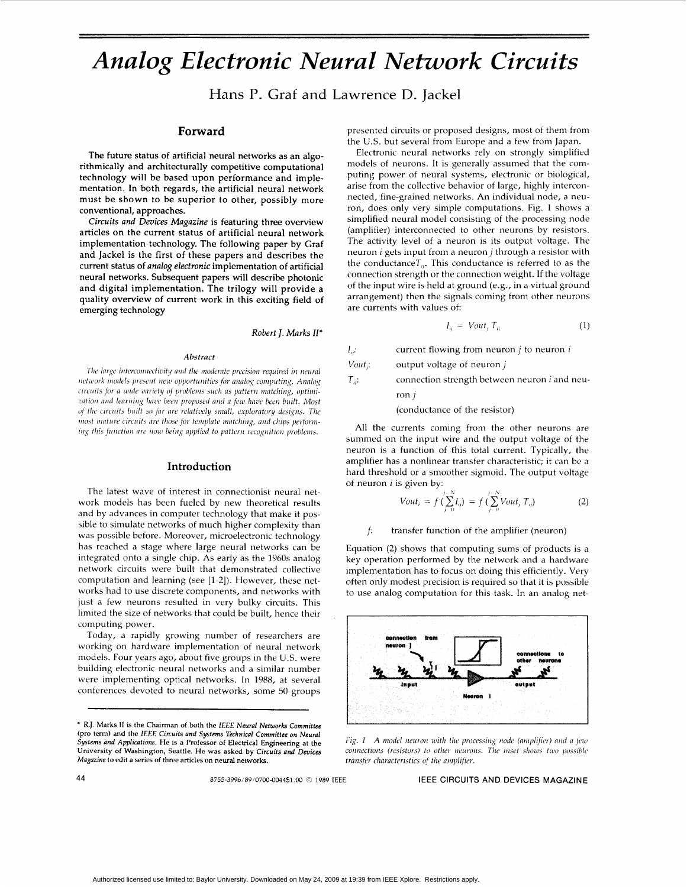# *Analog Electronic Neural Network Circuits*

Hans P. Graf and Lawrence D. Jackel

# **Forward**

The future status of artificial neural networks as an algorithmically and architecturally competitive computational technology will be based upon performance and implementation. In both regards, the artificial neural network must be shown to be superior to other, possibly more conventional, approaches.

*Circuits and Devices Magazine* is featuring three overview articles on the current status of artificial neural network implementation technology. The following paper by Graf and Jackel is the first of these papers and describes the current status of *analog electronic* implementation of artificial neural networks. Subsequent papers will describe photonic and digital implementation. The trilogy will provide a quality overview of current work in this exciting field of emerging technology

#### *Robert J. Marks II\**

#### **Abstract**

The large interconnectivity and the moderate precision required in neural network models present new opportunities for analog computing. Analog circuits for a wide variety of problems such as pattern matching, optimization and learning have been proposed and a few have been built. Most of the circuits built so far are relatively small, exploratory designs. The most mature circuits are those for template matching, and chips performing this function are now being applied to pattern recognition problems.

#### **Introduction**

The latest wave of interest in connectionist neural network models has been fueled by new theoretical results and by advances in computer technology that make it possible to simulate networks of much higher complexity than was possible before. Moreover, microelectronic technology has reached a stage where large neural networks can be integrated onto a single chip. As early as the 1960s analog network circuits were built that demonstrated collective computation and learning (see [1-21). However, these networks had to use discrete components, and networks with just a few neurons resulted in very bulky circuits. This limited the size of networks that could be built, hence their computing power.

Today, a rapidly growing number of researchers are working on hardware implementation of neural network models. Four years ago, about five groups in the U.S. were building electronic neural networks and a similar number were implementing optical networks. In 1988, at several conferences devoted to neural networks, some 50 groups

presented circuits or proposed designs, most of them from the U.S. but several from Europe and a few from Japan.

Electronic neural networks rely on strongly simplified models of neurons. It is generally assumed that the computing power of neural systems, electronic or biological, arise from the collective behavior of large, highly interconnected, fine-grained networks. An individual node, a neuron, does only very simple computations. Fig. 1 shows a simplified neural model consisting of the processing node (amplifier) interconnected to other neurons by resistors. The activity level of a neuron is its output voltage. The neuron *i* gets input from a neuron j through a resistor with the conductance $T_n$ . This conductance is referred to as the connection strength or the connection weight. If the voltage of the input wire is held at ground (e.g., in a virtual ground arrangement) then the signals coming from other neurons are currents with values of:

$$
I_{ij} = Vout_j \ T_{ij} \tag{1}
$$

 $I_{ij}$ : current flowing from neuron *j* to neuron *i* 

*Vout<sub>i</sub>*: output voltage of neuron *j* 

- $T_{ii}$ : connection strength between neuron *I* and neuron *<sup>J</sup>*
	- (conductance of the resistor)

All the currents coming from the other neurons are summed on the input wire and the output voltage of the neuron is a function of this total current. Typically, the amplifier has a nonlinear transfer characteristic, it can be a hard threshold or a smoother sigmoid. The output voltage of neuron *i* is given by:

$$
Vout_i = f\left(\sum_{j=0}^{j=N} I_{ij}\right) = f\left(\sum_{j=0}^{j=N} Vout_j \ T_{ij}\right) \tag{2}
$$

#### $f$ : transfer function of the amplifier (neuron)

Equation *(2)* shows that computing sums of products is a key operation performed by the network and a hardware implementation has to focus on doing this efficiently. Very often only modest precision is required so that it is possible to use analog computation for this task. In an analog net-



Fig. 1 A model neuron with the processing node (amplifier) and a few connections (resistors) to other neurons. The inset shows two possible transfer characteristics of the amplifier.

# **44 10**8755-3996/89/0700-0044\$1.00 © 1989 IEEE **IEEE** CIRCUITS AND DEVICES MAGAZINE

<sup>&#</sup>x27; **R.J. Marks I1 is the Chairman of both the IEEE** *Neural Network* **Committee**  (pro **term) and the IEEE Circuits** *and* **Systems Technical Committee on** *Neurul*  **Systems** *and* **Applications. He is a Professor of Electrical Engineering at the University of Washington, Seattle. He was asked by Circuits** *and* **Devices Moguzine to edit a series of three articles on neural networks.**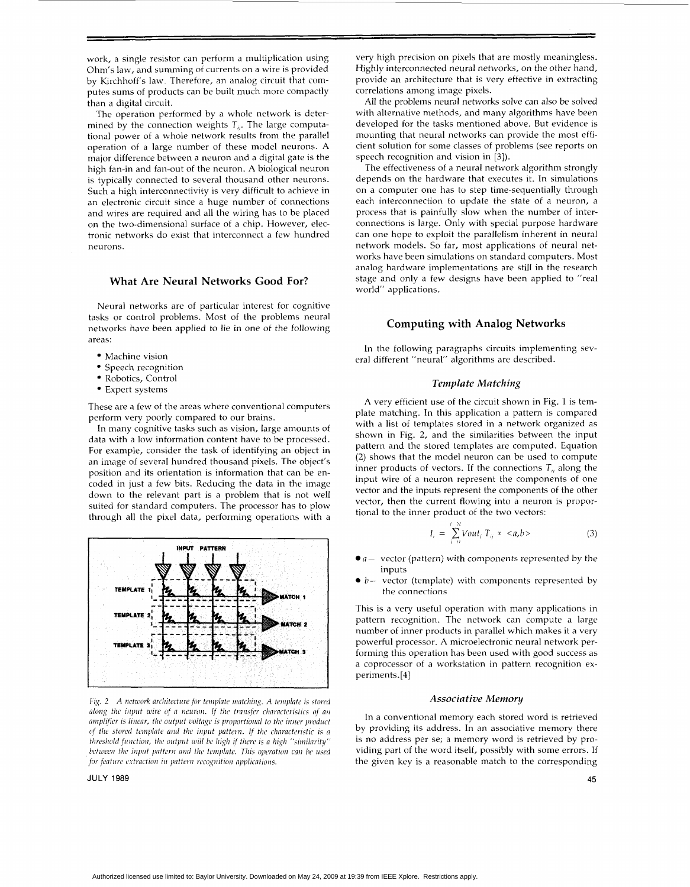work, a single resistor can perform a multiplication using Ohm's law, and summing of currents on a wire is provided by Kirchhoff's law. Therefore, an analog circuit that computes sums of products can be built much more compactly than a digital circuit.

The operation performed by a whole network is determined by the connection weights  $T_{\mu}$ . The large computational power of a whole network results from the parallel operation of a large number of these model neurons. A major difference between a neuron and a digital gate is the high fan-in and fan-out of the neuron. A biological neuron is typically connected to several thousand other neurons. Such a high interconnectivity is very difficult to achieve in an electronic circuit since a huge number of connections and wires are required and all the wiring has to be placed on the two-dimensional surface of a chip. However, electronic networks do exist that interconnect a few hundred neurons.

# **What Are Neural Networks Good For?**

Neural networks are of particular interest for cognitive tasks or control problems. Most of the problems neural networks have been applied to lie in one of the following areas:

- Machine vision
- Speech recognition
- Robotics, Control
- Expert systems

These are a few of the areas where conventional computers perform very poorly compared to our brains.

In many cognitive tasks such as vision, large amounts of data with a low information content have to be processed. For example, consider the task of identifying an object in an image of several hundred thousand pixels. The object's position and its orientation is information that can be encoded in just a few bits. Reducing the data in the image down to the relevant part is a problem that is not well suited for standard computers. The processor has to plow through all the pixel data, performing operations with a



Fig. 2 A network architecture for template matching. A template is stored along the input wire of a neuron. If the transfer characteristics of an amplifier is linear, the output voltage is proportional to the inner product of the stored template and the input pattern. If the characteristic is a threshold function, the output will be high if there is a high "similarity" between the input pattern and the template. This operation can be used for feature extraction in pattern recognition applications.

**JULY 1989** 

very high precision on pixels that are mostly meaningless. Highly interconnected neural networks, on the other hand, provide an architecture that is very effective in extracting correlations among image pixels.

**All** the problems neural networks solve can also be solved with alternative methods, and many algorithms have been developed for the tasks mentioned above. But evidence is mounting that neural networks can provide the most efficient solution for some classes of problems (see reports on speech recognition and vision in [3]).

The effectiveness of a neural network algorithm strongly depends on the hardware that executes it. In simulations on a computer one has to step time-sequentially through each interconnection to update the state of a neuron, a process that is painfully slow when the number of interconnections is large. Only with special purpose hardware can one hope to exploit the parallelism inherent in neural network models. So far, most applications of neural networks have been simulations on standard computers. Most analog hardware implementations are still in the research stage and only a few designs have been applied to "real world" applications.

# **Computing with Analog Networks**

In the following paragraphs circuits implementing several different "neural" algorithms are described.

#### *Template Matching*

A very efficient use of the circuit shown in Fig. 1 is template matching. In this application a pattern is compared with a list of templates stored in a network organized as shown in Fig. 2, and the similarities between the input pattern and the stored templates are computed. Equation (2) shows that the model neuron can be used to compute inner products of vectors. If the connections  $T_{ij}$  along the input wire of a neuron represent the components of one vector and the inputs represent the components of the other vector, then the current flowing into a neuron is proportional to the inner product of the two vectors:

$$
I_i = \sum_{j=0}^{j=N} Vout_j T_{ij} \times
$$
 (3)

- $a$  vector (pattern) with components represented by the inputs
- *0 b-* vector (template) with components represented by the connections

This is a very useful operation with many applications in pattern recognition. The network can compute a large number of inner products in parallel which makes it a very powerful processor. **A** microelectronic neural network performing this operation has been used with good success as a coprocessor of a workstation in pattern recognition experiments. [4]

#### *Associative Memory*

In a conventional memory each stored word is retrieved by providing its address. In an associative memory there is no address per se; a memory word is retrieved by providing part of the word itself, possibly with some errors. If the given key is a reasonable match to the corresponding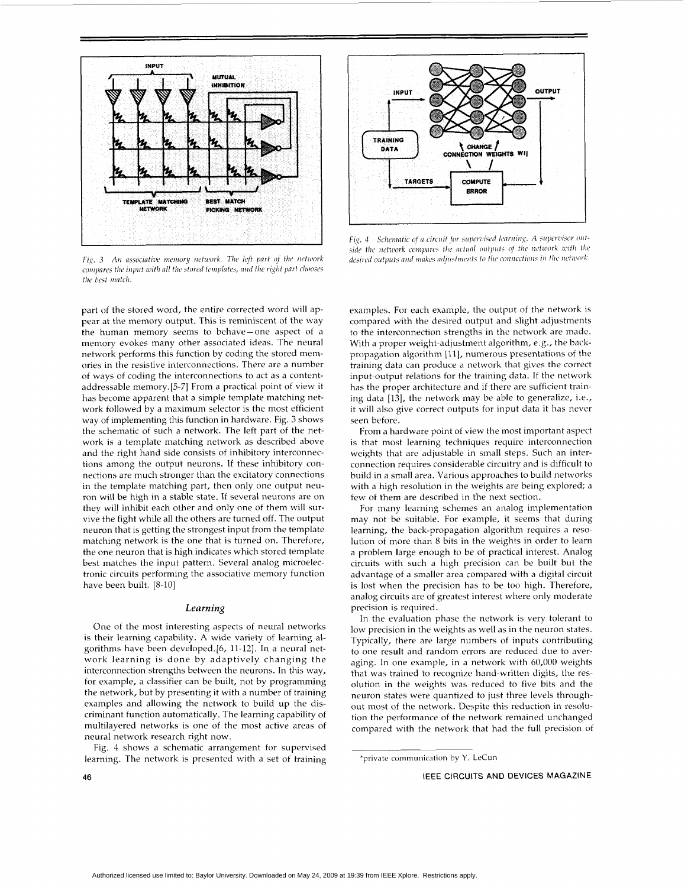

Fig. 3 An associative memory network. The left part of the network compares the input with all the stored templates, and the right part chooses the best match.

part of the stored word, the entire corrected word will appear at the memory output. This is reminiscent of the way the human memory seems to behave-one aspect of a memory evokes many other associated ideas. The neural network performs this function by coding the stored memories in the resistive interconnections. There are a number of ways of coding the interconnections to act as a contentaddressable memory.[5-71 From a practical point of view it has become apparent that a simple template matching network followed by a maximum selector is the most efficient way of implementing this function in hardware. [Fig. 3](#page-6-0) shows the schematic of such a network. The left part of the network is a template matching network as described above and the right hand side consists of inhibitory interconnections among the output neurons. If these inhibitory connections are much stronger than the excitatory connections in the template matching part, then only one output neuron will be high in a stable state. If several neurons are on they will inhibit each other and only one of them will survive the fight while all the others are turned off. The output neuron that is getting the strongest input from the template matching network is the one that is turned on. Therefore, the one neuron that is high indicates which stored template best matches the input pattern. Several analog microelectronic circuits performing the associative memory function have been built. [8-10]

#### *Learning*

One of the most interesting aspects of neural networks is their learning capability. A wide variety of learning algorithms have been developed.[b, 11-12]. In a neural network learning is done by adaptively changing the interconnection strengths between the neurons. In this way, for example, a classifier can be built, not by programming the network, but by presenting it with a number of training examples and allowing the network to build up the discriminant function automatically. The learning capability of multilayered networks is one of the most active areas of neural network research right now.

Fig. 4 shows a schematic arrangement for supervised learning. The network is presented with a set of training



Fig. 4 Schematic of a circuit for supervised learning. A supervisor outside the network compares the actual outputs of the network with the desired outputs and makes adjustments to the connections in the network.

examples. For each example, the output of the network is compared with the desired output and slight adjustments to the interconnection strengths in the network are made. With a proper weight-adjustment algorithm, e.g., the backpropagation algorithm [11], numerous presentations of the training data can produce a network that gives the correct input-output relations for the training data. If the network has the proper architecture and if there are sufficient training data [13], the network may be able to generalize, i.e., it will also give correct outputs for input data it has never seen before.

From a hardware point of view the most important aspect is that most learning techniques require interconnection weights that are adjustable in small steps. Such an interconnection requires considerable circuitry and is difficult to build in a small area. Various approaches to build networks with a high resolution in the weights are being explored; a few of them are described in the next section.

For many learning schemes an analog implementation may not be suitable. For example, it seems that during learning, the back-propagation algorithm requires a resolution of more than 8 bits in the weights in order to learn a problem large enough to be of practical interest. Analog circuits with such a high precision can be built but the advantage of a smaller area compared with a digital circuit is lost when the precision has to be too high. Therefore, analog circuits are of greatest interest where only moderate precision is required.

In the evaluation phase the network is very tolerant to low precision in the weights as well as in the neuron states. Typically, there are large numbers of inputs contributing to one result and random errors are reduced due to averaging. In one example, in a network with 60,000 weights that was trained to recognize hand-written digits, the resolution in the weights was reduced to five bits and the neuron states were quantized to just three levels throughout most of the network. Despite this reduction in resolution the performance of the network remained unchanged compared with the network that had the full precision of

<sup>&#</sup>x27;private communication by Y. LeCun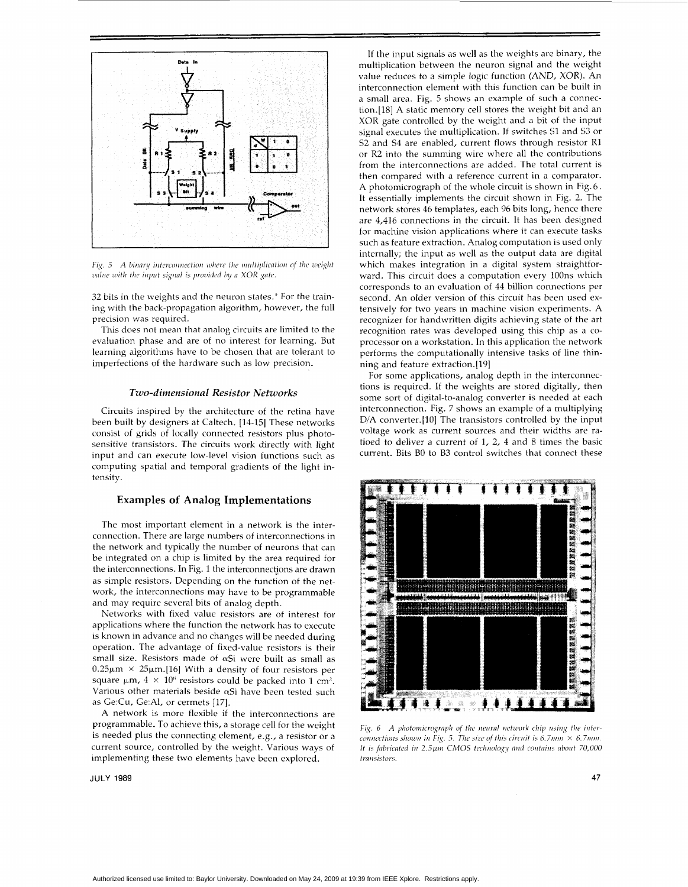

Fig. 5 A binary interconnection where the multiplication of the weight *value with the input signal is provided by a XOR gate.* 

32 bits in the weights and the neuron states.' For the training with the back-propagation algorithm, however, the full precision was required.

This does not mean that analog circuits are limited to the evaluation phase and are of no interest for learning. But learning algorithms have to be chosen that are tolerant to imperfections of the hardware such as low precision.

#### *Two-dimensional Resistor Networks*

Circuits inspired by the architecture of the retina have been built by designers at Caltech. [14-151 These networks consist of grids of locally connected resistors plus photosensitive transistors. The circuits work directly with light input and can execute low-level vision functions such as computing spatial and temporal gradients of the light intensity.

#### **Examples of Analog Implementations**

The most important element in a network is the interconnection. There are large numbers of interconnections in the network and typically the number of neurons that can be integrated on a chip is limited by the area required for the interconnections. In Fig. 1 the interconnections are drawn as simple resistors. Depending on the function of the network, the interconnections may have to be programmable and may require several bits of analog depth.

Networks with fixed value resistors are of interest for applications where the function the network has to execute is known in advance and no changes will be needed during operation. The advantage of fixed-value resistors is their small size. Resistors made of  $\alpha$ Si were built as small as  $0.25\mu m \times 25\mu m$ .[16] With a density of four resistors per square  $\mu$ m,  $4 \times 10^8$  resistors could be packed into 1 cm<sup>2</sup>. Various other materials beside  $\alpha$ Si have been tested such as Ge:Cu, Ge:AI, or cermets [17].

A network is more flexible if the interconnections are programmable. To achieve this, a storage cell for the weight is needed plus the connecting element, e.g., a resistor or a current source, controlled by the weight. Various ways of implementing these two elements have been explored.

If the input signals as well as the weights are binary, the multiplication between the neuron signal and the weight value reduces to a simple logic function (AND, XOR). An interconnection element with this function can be built in a small area. Fig. 5 shows an example of such a connection.[l8] A static memory cell stores the weight bit and an XOR gate controlled by the weight and a bit of the input signal executes the multiplication. If switches S1 and S3 or S2 and S4 are enabled, current flows through resistor R1 or R2 into the summing wire where all the contributions from the interconnections are added. The total current is then compared with a reference current in a comparator. A photomicrograph of the whole circuit is shown in Fig. 6. It essentially implements the circuit shown in [Fig. 2.](#page-6-0) The network stores 46 templates, each 96 bits long, hence there are 4,416 connections in the circuit. It has been designed for machine vision applications where it can execute tasks such as feature extraction. Analog computation is used only internally; the input as well as the output data are digital which makes integration in a digital system straightforward. This circuit does a computation every 100ns which corresponds to an evaluation of 44 billion connections per second. An older version of this circuit has been used extensively for two years in machine vision experiments. **A**  recognizer for handwritten digits achieving state of the art recognition rates was developed using this chip as a coprocessor on a workstation. In this application the network performs the computationally intensive tasks of line thinning and feature extraction.[l9]

For some applications, analog depth in the interconnections is required. If the weights are stored digitally, then some sort of digital-to-analog converter is needed at each interconnection. [Fig. 7](#page-4-0) shows an example of a multiplying **D/A** converter.[lO] The transistors controlled by the input voltage work as current sources and their widths are ratioed to deliver a current of 1, 2, 4 and 8 times the basic current. Bits BO to 83 control switches that connect these



Fig. 6 A photomicrograph of the neural network chip using the interconnections shown in Fig. 5. The size of this circuit is  $6.7$ mm  $\times$  6.7mm. It is fabricated in 2.5  $\mu$ m CMOS technology and contains about 70,000 transistors.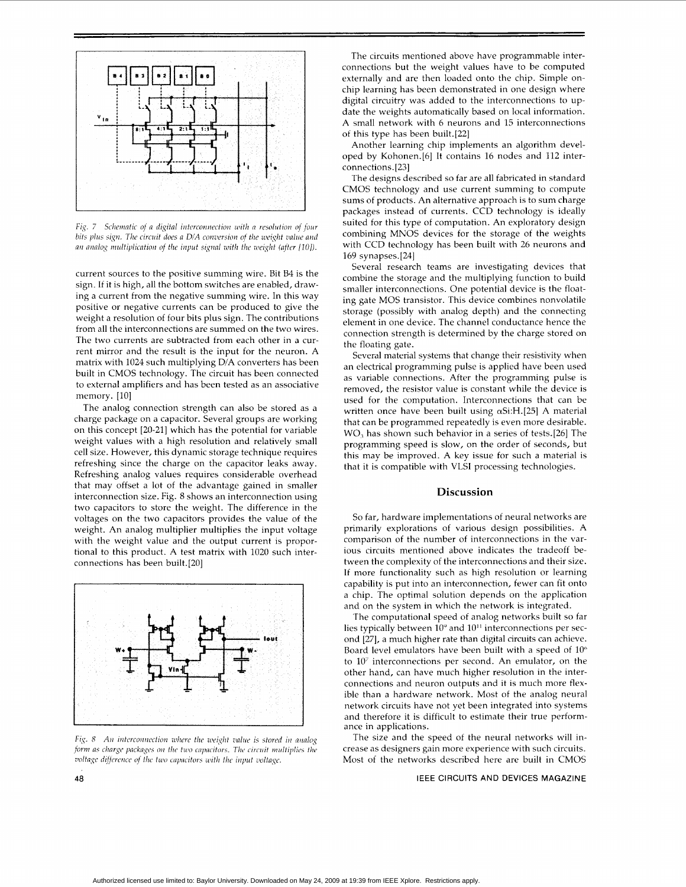<span id="page-4-0"></span>

Fig. 7 Schematic of a digital interconnection with a resolution of four bits plus sign. The circuit does a D/A conversion of the weight value and *an analog multiplication of the input signal with the weight (after [10]).* 

current sources to the positive summing wire. Bit B4 is the sign. If it is high, all the bottom switches are enabled, drawing a current from the negative summing wire. In this way positive or negative currents can be produced to give the weight a resolution of four bits plus sign. The contributions from all the interconnections are summed on the two wires. The two currents are subtracted from each other in a current mirror and the result is the input for the neuron. A matrix with 1024 such multiplying D/A converters has been built in CMOS technology. The circuit has been connected to external amplifiers and has been tested as an associative memory. [10]

The analog connection strength can also be stored as a charge package on a capacitor. Several groups are working on this concept [20-211 which has the potential for variable weight values with a high resolution and relatively small cell size. However, this dynamic storage technique requires refreshing since the charge on the capacitor leaks away. Refreshing analog values requires considerable overhead that may offset a lot of the advantage gained in smaller interconnection size. Fig. 8 shows an interconnection using two capacitors to store the weight. The difference in the voltages on the two capacitors provides the value of the weight. An analog multiplier multiplies the input voltage with the weight value and the output current is proportional to this product. **A** test matrix with 1020 such interconnections has been built.[20]



Fig. 8 An interconnection where the weight value is stored in analog form as charge packages on the two capacitors. The circuit multiplies the voltage difference of the two capacitors with the input voltage.

The circuits mentioned above have programmable interconnections but the weight values have to be computed externally and are then loaded onto the chip. Simple onchip learning has been demonstrated in one design where digital circuitry was added to the interconnections to update the weights automatically based on local information. A small network with 6 neurons and 15 interconnections of this type has been built.[22]

Another learning chip implements an algorithm developed by Kohonen.[6] It contains 16 nodes and 112 interconnections. [23]

The designs described so far are all fabricated in standard CMOS technology and use current summing to compute sums of products. An alternative approach is to sum charge packages instead of currents. CCD technology is ideally suited for this type of computation. An exploratory design combining MNOS devices for the storage of the weights with CCD technology has been built with 26 neurons and 169 synapses.[24]

Several research teams are investigating devices that combine the storage and the multiplying function to build smaller interconnections. One potential device is the floating gate MOS transistor. This device combines nonvolatile storage (possibly with analog depth) and the connecting element in one device. The channel conductance hence the connection strength is determined by the charge stored on the floating gate.

Several material systems that change their resistivity when an electrical programming pulse is applied have been used as variable connections. After the programming pulse is removed, the resistor value is constant while the device is used for the computation. Interconnections that can be written once have been built using  $\alpha$ Si:H.[25] A material that can be programmed repeatedly is even more desirable. WO, has shown such behavior in a series of tests.[26] The programming speed is slow, on the order of seconds, but this may be improved. **A** key issue for such a material is that it is compatible with VLSI processing technologies.

# **Discussion**

So far, hardware implementations of neural networks are primarily explorations of various design possibilities. A comparison of the number of interconnections in the various circuits mentioned above indicates the tradeoff between the complexity of the interconnections and their size. If more functionality such as high resolution or learning capability is put into an interconnection, fewer can fit onto a chip. The optimal solution depends on the application and on the system in which the network is integrated.

The computational speed of analog networks built so far lies typically between  $10^9$  and  $10^{11}$  interconnections per second [27], a much higher rate than digital circuits can achieve. Board level emulators have been built with a speed of  $10^6$ to 10' interconnections per second. An emulator, on the other hand, can have much higher resolution in the interconnections and neuron outputs and it is much more flexible than a hardware network. Most of the analog neural network circuits have not yet been integrated into systems and therefore it is difficult to estimate their true performance in applications.

The size and the speed of the neural networks will increase as designers gain more experience with such circuits. Most of the networks described here are built in CMOS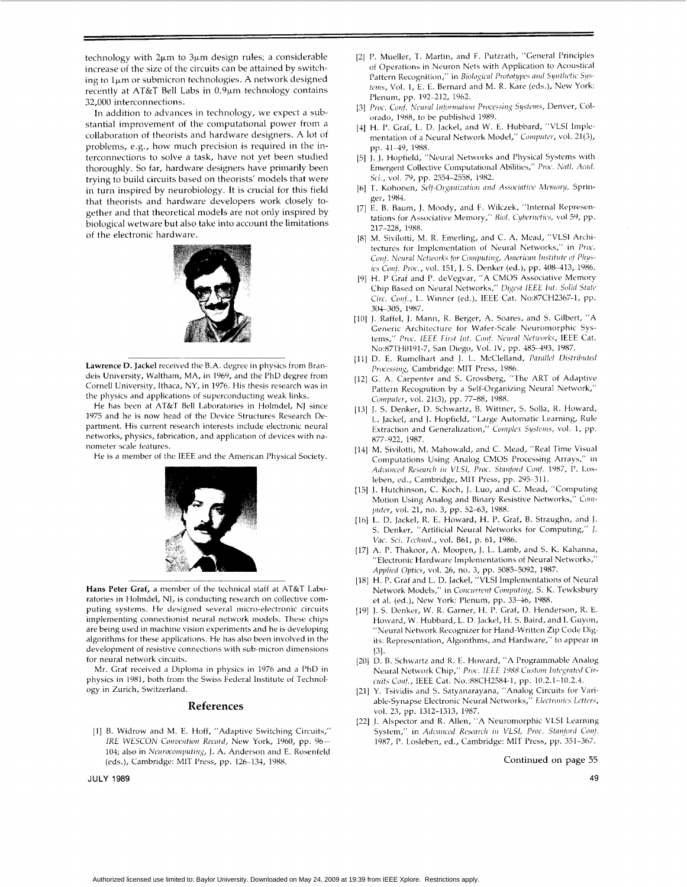<span id="page-5-0"></span>technology with  $2\mu m$  to  $3\mu m$  design rules; a considerable increase of the size of the circuits can be attained by switching to  $1\mu$ m or submicron technologies. A network designed recently at AT&T Bell Labs in  $0.9\mu$ m technology contains 32,000 interconnections.

In addition to advances in technology, we expect a substantial improvement of the computational power from a collaboration of theorists and hardware designers. A lot of problems, e.g., how much precision is required in the interconnections to solve a task, have not yet been studied thoroughly. So far, hardware designers have primarily been trying to build circuits based on theorists' models that were in turn inspired by neurobiology. It is crucial for this field that theorists and hardware developers work closely together and that theoretical models are not only inspired by biological wetware but also take into account the limitations of the electronic hardware.



**Lawrence D. Jackel** received the B.A. degree in physics from Brandeis University, Waltham, MA, in 1969, and the PhD degree from Cornell University, Ithaca, NY, in 1976. His thesis research was in the physics and applications of superconducting weak links.

He has been at AT&T Bell Laboratories in Holmdel, NJ since 1975 and he is now head of the Device Structures Research Department. His current research interests include electronic neural networks, physics, fabrication, and application of devices with nanometer scale features.

He is a member of the IEEE and the American Physical Society.



**Hans Peter Graf,** a member of the technical staff at AT&T Laboratories in Holmdel, NJ, is conducting research on collective computing systems. He designed several micro-electronic circuits implementing connectionist neural network models. These chips are being used in machine vision experiments and he is developing algorithms for these applications. He has also been involved in the development of resistive connections with sub-micron dimensions for neural network circuits.

Mr. Graf received a Diploma in physics in 1976 and a PhD in physics in 1981, both from the Swiss Federal Institute of Technology in Zurich, Switzerland.

#### **References**

111 B. Widrow and M. E. Hoff, "Adaptive Switching Circuits," *IRE WESCON Convention Record, New York, 1960, pp. 96-*104; also in Neurocomputing, J. A. Anderson and E. Rosenfeld (eds.), Cambridge: MIT Press, **pp.** 126-134, 1988.

- [2] P. Mueller, **7.** Martin, and F. Putzrath, "General Principles of Operations in Neuron Nets with Application to Acousticdl Pattern Recognition," in *Biological Prototypes and Synthetic Systcrm,* Vol. 1, E. E. Bernard and M. R. Kare (eds.), New York: Plenum, **pp.** 192-212, 1962.
- orado, 1988, to be published 1989. 131 *Proc. Conf. Neural Information Processing Systems, Denver, Col-*
- [4] H. P. Graf, L. D. Jackel, and W. E. Hubbard, "VLSI Implementation of a Neural Network Model," Computer, vol. 21(3), **pp.** 41-49, 1988.
- [5] J. J. Hopfield, "Neural Networks and Physical Systems with Emergent Collective Computational Abilities," Proc. Natl. Acad. *Sci.,* vol. 79, **pp.** 2554-2558, 1982.
- [6] T. Kohonen, Self-Organization and Associative Memory, Springer, 1984.
- [7] E. B. Baum, J. Moody, and F. Wilczek, "Internal Representations for Associative Memory," Biol. Cybernetics, vol 59, pp. 217-228, 1988.
- M. Sivilotti, M. R. Emerling, and C. A. Mead, "VLSI Architectures for lmplementation of Neural Networks," in Proc. *Ics Conf. Proc., vol. 151, J. S. Denker (ed.), pp. 408-413, 1986.* Conf. Neural Networks for Computing, American Institute of Phys-
- [9] H. P Graf and P. deVegvar, "A CMOS Associative Memory Chip Based on Neural Networks," Digest IEEE Int. Solid State *Circ. Conf.*, L. Winner (ed.), IEEE Cat. No:87CH2367-1, pp. 304-305, 1987.
- [10] J. Raffel, J. Mann, R. Berger, A. Soares, and S. Gilbert, "A Generic Architecture for Wafer-Scale Neuromorphic Sys-No:87TH0191-7, San Diego, Vol. lV, **pp.** 485-493, 1987. tems," Proc. IEEE First Int. Conf. Neural Networks, IEEE Cat.
- [11] D. E. Rumelhart and J. L. McClelland, *Parallel Distributed* Processing, Cambridge: MIT Press, 1986.
- [12] G. A. Carpenter and *S. Grossberg, "The ART of Adaptive* Pattern Recognition by a Self-Organizing Neural Network," *CIlJtJpUtL'r,* Vol. 21(3), **pp.** 77-88, *1988.*
- [13] J. S. Denker, D. Schwartz, B. Wittner, S. Solla, R. Howard, L. Jackel, and J. Hopfield, "Large Automatic Learning, Rule Extraction and Generalization," Complex Systems, vol. 1, pp. 877-922. 1987.
- (141 M. Sivilotti, M. Mahowald, and C. Mead, "Real Time Visual Computations Using Analog CMOS Processing Arrays," in *Adilrirircd Ros~~zrrh ifi VLS/, Proc.* Stn,iford Co~ij. 1987, P. Losleben, ed., Cambridge, MIT Press, **pp.** 295-311.
- [15] J. Hutchinson, C. Koch, J. Luo, and C. Mead, "Computing Motion Using Analog and Binary Resistive Networks," Com*pirtcr,* vol. 21, no. *3,* **pp.** 52-63, 1988.
- [16] L. D. Jackel, R. E. Howard, H. P. Graf, B. Straughn, and J. *S.* Denker, "Artificial Neural Networks for Computing," *1. Vlic. Sci. Tccirtrol.,* vol. 861, **p.** 61, 1986.
- [17] A. P. Thakoor, A. Moopen, J. L. Lamb, and S. K. Kahanna, "Electronic Hardware Implementations of Neural Networks," *Appliud Optics,* vol. *26,* no. 3, pp. 5085-5092, 1987.
- [18] H. P. Graf and L. D. Jackel, "VLSI Implementations of Neural Network Models," in Concurrent Computing, S. K. Tewksbury et al. (ed.), New York: Plenum, **pp.** 33-46, 1988.
- 1191 J. S. Denker, W. R. Garner, H. P. Graf, D. Henderson, R. E. Howard, W. Hubbard, L. D. Jackel, H. *S.* Baird, and 1. Guyon, "Neural Network Recognizer for Hand-Written Zip Code Digits: Representation, Algorithms, and Hardware," to appear in 131.
- [20] D. B. Schwartz and R. E. Howard, "A Programmable Analog Neural Network Chip," Proc. IEEE 1988 Custom Integrated Cir*cuits COJI~.,* IEEE Cat. No.:88CH2584-1, **pp.** 10.2.1-10.2.4.
- [21] Y. Tsividis and S. Satyanarayana, "Analog Circuits for Variable-Synapse Electronic Neural Networks," Electronics Letters, vol. *23,* **pp.** 1312-1313, 1987.
- [22] J. Alspector and R. Allen, "A Neuromorphic VLSI Learning System," in Advanced Research in VLSI, Proc. Stanford Conf. 1987, P. Losleben, ed., Cambridge: MIT Press, pp. 351-367.

[Continued on page](#page-6-0) *55*